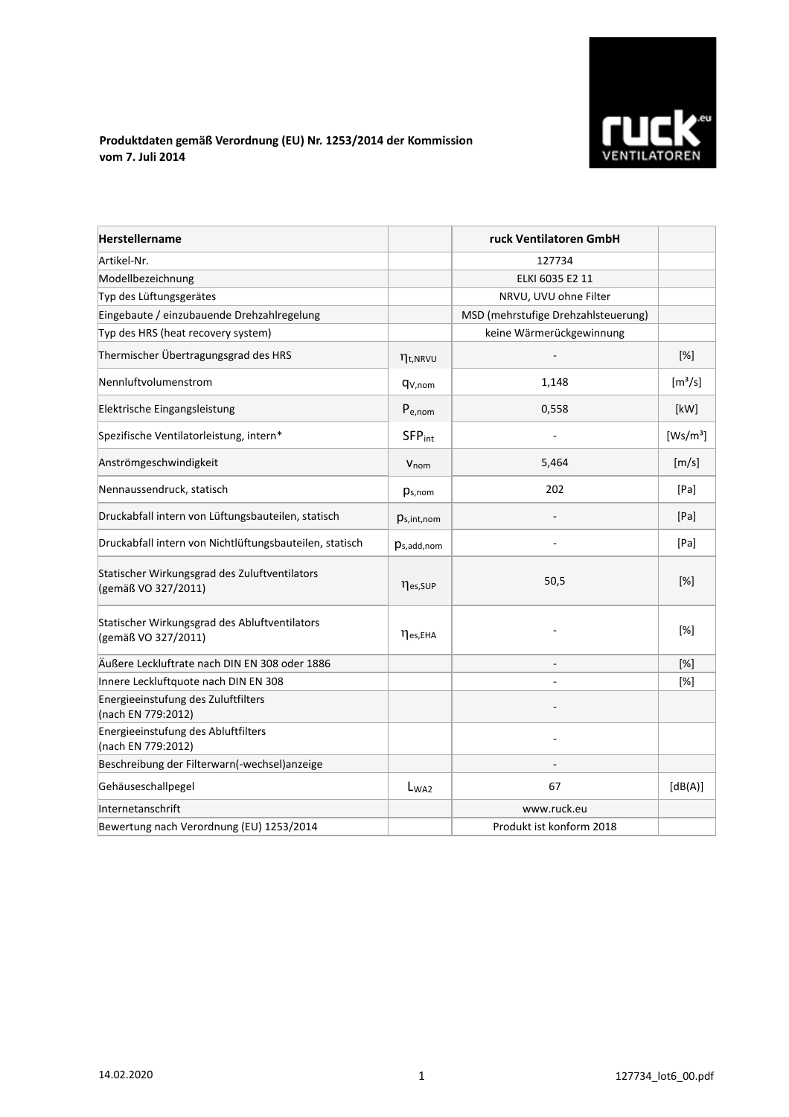

## **Produktdaten gemäß Verordnung (EU) Nr. 1253/2014 der Kommission vom 7. Juli 2014**

| <b>Herstellername</b>                                                |                           | ruck Ventilatoren GmbH              |                              |
|----------------------------------------------------------------------|---------------------------|-------------------------------------|------------------------------|
| Artikel-Nr.                                                          |                           | 127734                              |                              |
| Modellbezeichnung                                                    |                           | ELKI 6035 E2 11                     |                              |
| Typ des Lüftungsgerätes                                              |                           | NRVU, UVU ohne Filter               |                              |
| Eingebaute / einzubauende Drehzahlregelung                           |                           | MSD (mehrstufige Drehzahlsteuerung) |                              |
| Typ des HRS (heat recovery system)                                   |                           | keine Wärmerückgewinnung            |                              |
| Thermischer Übertragungsgrad des HRS                                 | $\eta_{t, NRVU}$          |                                     | $[\%]$                       |
| Nennluftvolumenstrom                                                 | q <sub>V,nom</sub>        | 1,148                               | $\left[\frac{m^3}{s}\right]$ |
| Elektrische Eingangsleistung                                         | $P_{e,nom}$               | 0,558                               | [kW]                         |
| Spezifische Ventilatorleistung, intern*                              | <b>SFP</b> <sub>int</sub> |                                     | [Ws/m <sup>3</sup> ]         |
| Anströmgeschwindigkeit                                               | V <sub>nom</sub>          | 5,464                               | [m/s]                        |
| Nennaussendruck, statisch                                            | $p_{s,nom}$               | 202                                 | [Pa]                         |
| Druckabfall intern von Lüftungsbauteilen, statisch                   | $p_{s,int,nom}$           |                                     | [Pa]                         |
| Druckabfall intern von Nichtlüftungsbauteilen, statisch              | $p_{s,add,nom}$           |                                     | [Pa]                         |
| Statischer Wirkungsgrad des Zuluftventilators<br>(gemäß VO 327/2011) | nes, SUP                  | 50,5                                | $[\%]$                       |
| Statischer Wirkungsgrad des Abluftventilators<br>(gemäß VO 327/2011) | $\eta_{es,EHA}$           |                                     | [%]                          |
| Äußere Leckluftrate nach DIN EN 308 oder 1886                        |                           |                                     | [%]                          |
| Innere Leckluftquote nach DIN EN 308                                 |                           |                                     | [%]                          |
| Energieeinstufung des Zuluftfilters<br>(nach EN 779:2012)            |                           |                                     |                              |
| Energieeinstufung des Abluftfilters<br>(nach EN 779:2012)            |                           |                                     |                              |
| Beschreibung der Filterwarn(-wechsel)anzeige                         |                           |                                     |                              |
| Gehäuseschallpegel                                                   | L <sub>WA2</sub>          | 67                                  | [dB(A)]                      |
| Internetanschrift                                                    |                           | www.ruck.eu                         |                              |
| Bewertung nach Verordnung (EU) 1253/2014                             |                           | Produkt ist konform 2018            |                              |